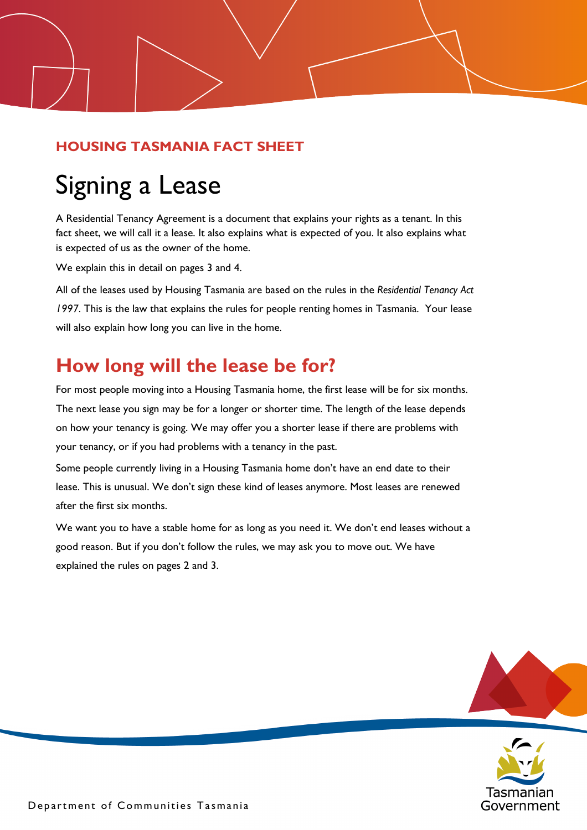### **HOUSING TASMANIA FACT SHEET**

# Signing a Lease

A Residential Tenancy Agreement is a document that explains your rights as a tenant. In this fact sheet, we will call it a lease. It also explains what is expected of you. It also explains what is expected of us as the owner of the home.

We explain this in detail on pages 3 and 4.

All of the leases used by Housing Tasmania are based on the rules in the *Residential Tenancy Act 1997*. This is the law that explains the rules for people renting homes in Tasmania. Your lease will also explain how long you can live in the home.

### **How long will the lease be for?**

For most people moving into a Housing Tasmania home, the first lease will be for six months. The next lease you sign may be for a longer or shorter time. The length of the lease depends on how your tenancy is going. We may offer you a shorter lease if there are problems with your tenancy, or if you had problems with a tenancy in the past.

Some people currently living in a Housing Tasmania home don't have an end date to their lease. This is unusual. We don't sign these kind of leases anymore. Most leases are renewed after the first six months.

We want you to have a stable home for as long as you need it. We don't end leases without a good reason. But if you don't follow the rules, we may ask you to move out. We have explained the rules on pages 2 and 3.



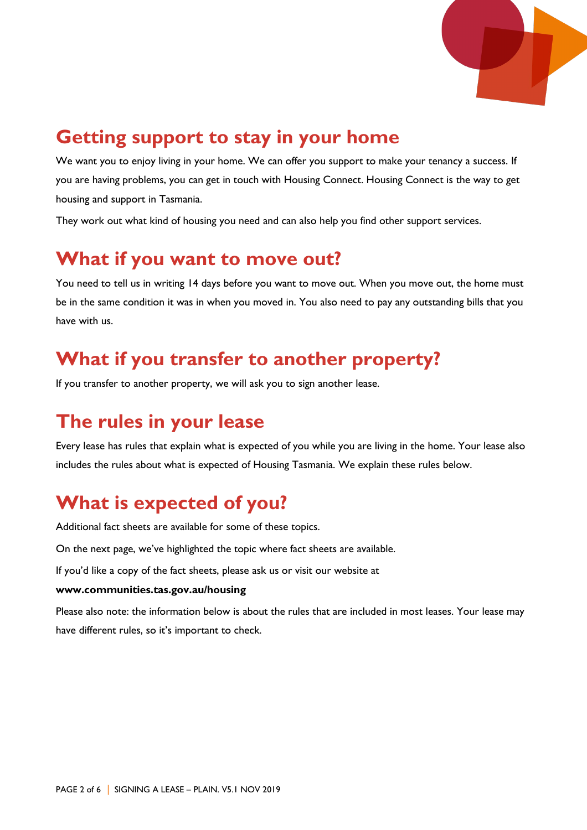

### **Getting support to stay in your home**

We want you to enjoy living in your home. We can offer you support to make your tenancy a success. If you are having problems, you can get in touch with Housing Connect. Housing Connect is the way to get housing and support in Tasmania.

They work out what kind of housing you need and can also help you find other support services.

### **What if you want to move out?**

You need to tell us in writing 14 days before you want to move out. When you move out, the home must be in the same condition it was in when you moved in. You also need to pay any outstanding bills that you have with us.

### **What if you transfer to another property?**

If you transfer to another property, we will ask you to sign another lease.

### **The rules in your lease**

Every lease has rules that explain what is expected of you while you are living in the home. Your lease also includes the rules about what is expected of Housing Tasmania. We explain these rules below.

### **What is expected of you?**

Additional fact sheets are available for some of these topics.

On the next page, we've highlighted the topic where fact sheets are available.

If you'd like a copy of the fact sheets, please ask us or visit our website at

#### **[www.communities.tas.gov.au/housing](http://www.communities.tas.gov.au/housing)**

Please also note: the information below is about the rules that are included in most leases. Your lease may have different rules, so it's important to check.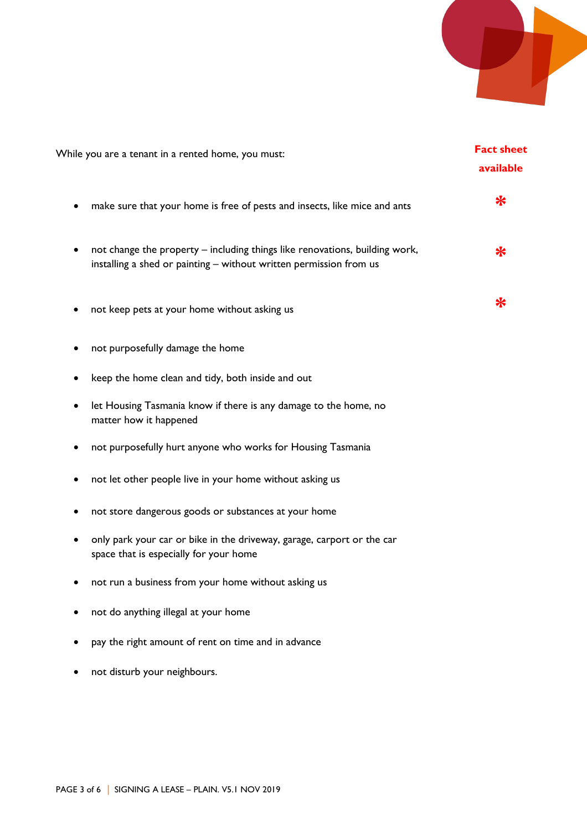

| While you are a tenant in a rented home, you must:                                                                                                | <b>Fact sheet</b><br>available |
|---------------------------------------------------------------------------------------------------------------------------------------------------|--------------------------------|
| make sure that your home is free of pests and insects, like mice and ants                                                                         | ∗                              |
| not change the property - including things like renovations, building work,<br>installing a shed or painting - without written permission from us | ₩                              |
| not keep pets at your home without asking us                                                                                                      | ∗                              |
| not purposefully damage the home                                                                                                                  |                                |
| keep the home clean and tidy, both inside and out                                                                                                 |                                |
| let Housing Tasmania know if there is any damage to the home, no<br>matter how it happened                                                        |                                |
| not purposefully hurt anyone who works for Housing Tasmania                                                                                       |                                |
| not let other people live in your home without asking us                                                                                          |                                |
| not store dangerous goods or substances at your home                                                                                              |                                |
| only park your car or bike in the driveway, garage, carport or the car<br>٠<br>space that is especially for your home                             |                                |
| not run a business from your home without asking us                                                                                               |                                |
| not do anything illegal at your home                                                                                                              |                                |
| pay the right amount of rent on time and in advance                                                                                               |                                |
| not disturb your neighbours.                                                                                                                      |                                |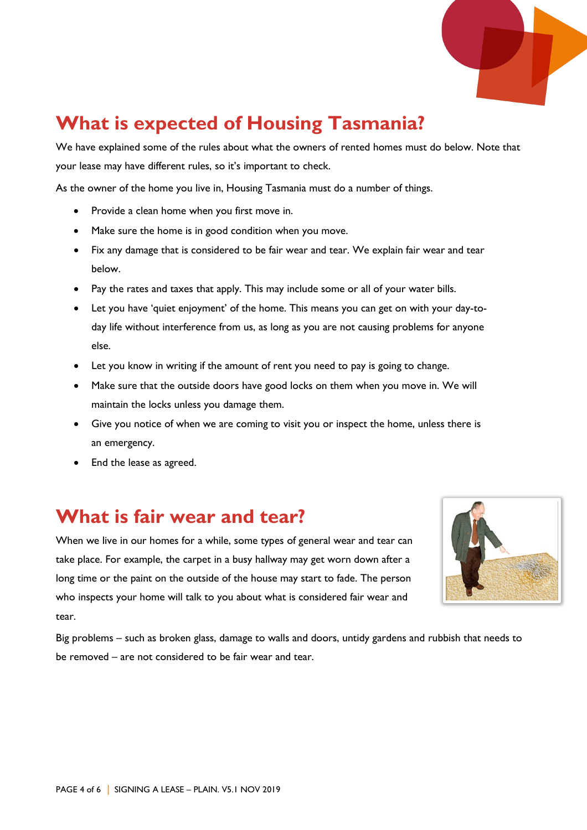

## **What is expected of Housing Tasmania?**

We have explained some of the rules about what the owners of rented homes must do below. Note that your lease may have different rules, so it's important to check.

As the owner of the home you live in, Housing Tasmania must do a number of things.

- Provide a clean home when you first move in.
- Make sure the home is in good condition when you move.
- Fix any damage that is considered to be fair wear and tear. We explain fair wear and tear below.
- Pay the rates and taxes that apply. This may include some or all of your water bills.
- Let you have 'quiet enjoyment' of the home. This means you can get on with your day-today life without interference from us, as long as you are not causing problems for anyone else.
- Let you know in writing if the amount of rent you need to pay is going to change.
- Make sure that the outside doors have good locks on them when you move in. We will maintain the locks unless you damage them.
- Give you notice of when we are coming to visit you or inspect the home, unless there is an emergency.
- End the lease as agreed.

### **What is fair wear and tear?**

When we live in our homes for a while, some types of general wear and tear can take place. For example, the carpet in a busy hallway may get worn down after a long time or the paint on the outside of the house may start to fade. The person who inspects your home will talk to you about what is considered fair wear and tear.



Big problems – such as broken glass, damage to walls and doors, untidy gardens and rubbish that needs to be removed – are not considered to be fair wear and tear.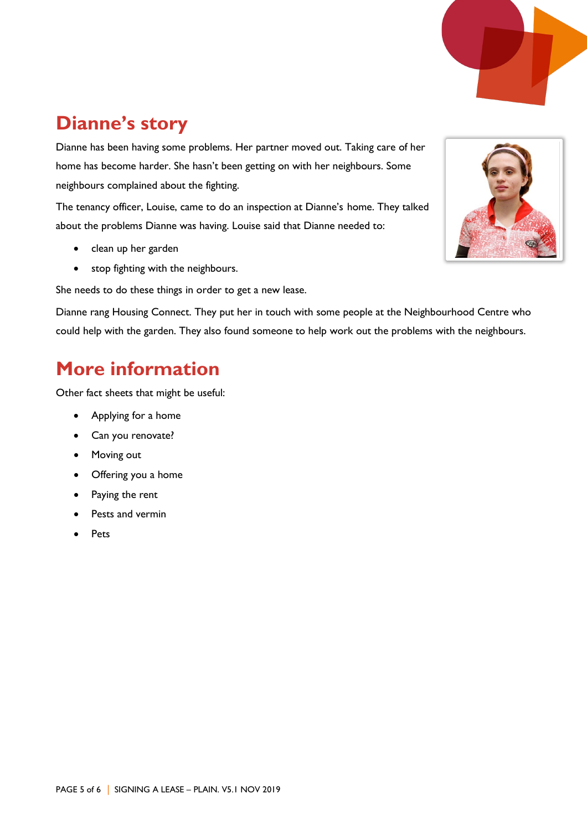

## **Dianne's story**

Dianne has been having some problems. Her partner moved out. Taking care of her home has become harder. She hasn't been getting on with her neighbours. Some neighbours complained about the fighting.

The tenancy officer, Louise, came to do an inspection at Dianne's home. They talked about the problems Dianne was having. Louise said that Dianne needed to:

- clean up her garden
- stop fighting with the neighbours.

She needs to do these things in order to get a new lease.

Dianne rang Housing Connect. They put her in touch with some people at the Neighbourhood Centre who could help with the garden. They also found someone to help work out the problems with the neighbours.

### **More information**

Other fact sheets that might be useful:

- Applying for a home
- Can you renovate?
- Moving out
- Offering you a home
- Paying the rent
- Pests and vermin
- **Pets**